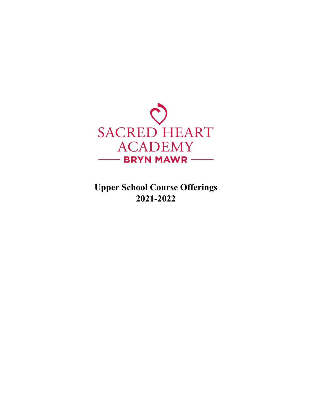

**Upper School Course Offerings 2021-2022**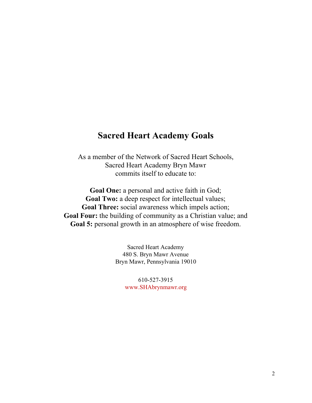### **Sacred Heart Academy Goals**

As a member of the Network of Sacred Heart Schools, Sacred Heart Academy Bryn Mawr commits itself to educate to:

**Goal One:** a personal and active faith in God; **Goal Two:** a deep respect for intellectual values; **Goal Three:** social awareness which impels action; **Goal Four:** the building of community as a Christian value; and **Goal 5:** personal growth in an atmosphere of wise freedom.

> Sacred Heart Academy 480 S. Bryn Mawr Avenue Bryn Mawr, Pennsylvania 19010

> > 610-527-3915 [www.SHAbrynmawr.org](http://www.shabrynmawr.org/)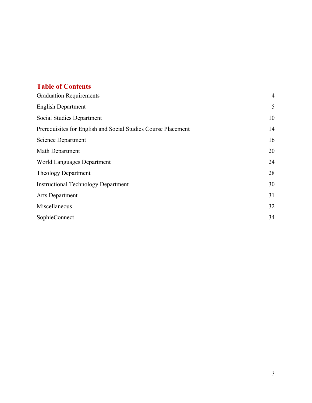#### **Table of Contents**

| <b>Graduation Requirements</b>                                |    |
|---------------------------------------------------------------|----|
| <b>English Department</b>                                     | 5  |
| Social Studies Department                                     | 10 |
| Prerequisites for English and Social Studies Course Placement | 14 |
| Science Department                                            | 16 |
| Math Department                                               | 20 |
| World Languages Department                                    | 24 |
| Theology Department                                           | 28 |
| <b>Instructional Technology Department</b>                    | 30 |
| Arts Department                                               | 31 |
| Miscellaneous                                                 | 32 |
| SophieConnect                                                 | 34 |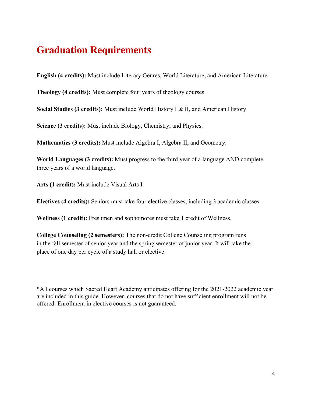## <span id="page-3-0"></span>**Graduation Requirements**

**English (4 credits):** Must include Literary Genres, World Literature, and American Literature.

**Theology (4 credits):** Must complete four years of theology courses.

**Social Studies (3 credits):** Must include World History I & II, and American History.

**Science (3 credits):** Must include Biology, Chemistry, and Physics.

**Mathematics (3 credits):** Must include Algebra I, Algebra II, and Geometry.

**World Languages (3 credits):** Must progress to the third year of a language AND complete three years of a world language.

**Arts (1 credit):** Must include Visual Arts I.

**Electives (4 credits):** Seniors must take four elective classes, including 3 academic classes.

**Wellness (1 credit):** Freshmen and sophomores must take 1 credit of Wellness.

**College Counseling (2 semesters):** The non-credit College Counseling program runs in the fall semester of senior year and the spring semester of junior year. It will take the place of one day per cycle of a study hall or elective.

\*All courses which Sacred Heart Academy anticipates offering for the 2021-2022 academic year are included in this guide. However, courses that do not have sufficient enrollment will not be offered. Enrollment in elective courses is not guaranteed.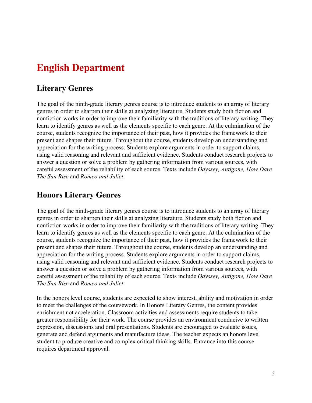# **English Department**

#### **Literary Genres**

The goal of the ninth-grade literary genres course is to introduce students to an array of literary genres in order to sharpen their skills at analyzing literature. Students study both fiction and nonfiction works in order to improve their familiarity with the traditions of literary writing. They learn to identify genres as well as the elements specific to each genre. At the culmination of the course, students recognize the importance of their past, how it provides the framework to their present and shapes their future. Throughout the course, students develop an understanding and appreciation for the writing process. Students explore arguments in order to support claims, using valid reasoning and relevant and sufficient evidence. Students conduct research projects to answer a question or solve a problem by gathering information from various sources, with careful assessment of the reliability of each source. Texts include *Odyssey, Antigone, How Dare The Sun Rise* and *Romeo and Juliet*.

#### **Honors Literary Genres**

The goal of the ninth-grade literary genres course is to introduce students to an array of literary genres in order to sharpen their skills at analyzing literature. Students study both fiction and nonfiction works in order to improve their familiarity with the traditions of literary writing. They learn to identify genres as well as the elements specific to each genre. At the culmination of the course, students recognize the importance of their past, how it provides the framework to their present and shapes their future. Throughout the course, students develop an understanding and appreciation for the writing process. Students explore arguments in order to support claims, using valid reasoning and relevant and sufficient evidence. Students conduct research projects to answer a question or solve a problem by gathering information from various sources, with careful assessment of the reliability of each source. Texts include *Odyssey, Antigone, How Dare The Sun Rise* and *Romeo and Juliet*.

In the honors level course, students are expected to show interest, ability and motivation in order to meet the challenges of the coursework. In Honors Literary Genres, the content provides enrichment not acceleration. Classroom activities and assessments require students to take greater responsibility for their work. The course provides an environment conducive to written expression, discussions and oral presentations. Students are encouraged to evaluate issues, generate and defend arguments and manufacture ideas. The teacher expects an honors level student to produce creative and complex critical thinking skills. Entrance into this course requires department approval.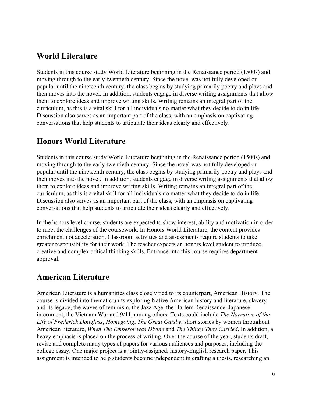#### **World Literature**

Students in this course study World Literature beginning in the Renaissance period (1500s) and moving through to the early twentieth century. Since the novel was not fully developed or popular until the nineteenth century, the class begins by studying primarily poetry and plays and then moves into the novel. In addition, students engage in diverse writing assignments that allow them to explore ideas and improve writing skills. Writing remains an integral part of the curriculum, as this is a vital skill for all individuals no matter what they decide to do in life. Discussion also serves as an important part of the class, with an emphasis on captivating conversations that help students to articulate their ideas clearly and effectively.

#### **Honors World Literature**

Students in this course study World Literature beginning in the Renaissance period (1500s) and moving through to the early twentieth century. Since the novel was not fully developed or popular until the nineteenth century, the class begins by studying primarily poetry and plays and then moves into the novel. In addition, students engage in diverse writing assignments that allow them to explore ideas and improve writing skills. Writing remains an integral part of the curriculum, as this is a vital skill for all individuals no matter what they decide to do in life. Discussion also serves as an important part of the class, with an emphasis on captivating conversations that help students to articulate their ideas clearly and effectively.

In the honors level course, students are expected to show interest, ability and motivation in order to meet the challenges of the coursework. In Honors World Literature, the content provides enrichment not acceleration. Classroom activities and assessments require students to take greater responsibility for their work. The teacher expects an honors level student to produce creative and complex critical thinking skills. Entrance into this course requires department approval.

#### **American Literature**

American Literature is a humanities class closely tied to its counterpart, American History. The course is divided into thematic units exploring Native American history and literature, slavery and its legacy, the waves of feminism, the Jazz Age, the Harlem Renaissance, Japanese internment, the Vietnam War and 9/11, among others. Texts could include *The Narrative of the Life of Frederick Douglass*, *Homegoing*, *The Great Gatsby*, short stories by women throughout American literature, *When The Emperor was Divine* and *The Things They Carried*. In addition, a heavy emphasis is placed on the process of writing. Over the course of the year, students draft, revise and complete many types of papers for various audiences and purposes, including the college essay. One major project is a jointly-assigned, history-English research paper. This assignment is intended to help students become independent in crafting a thesis, researching an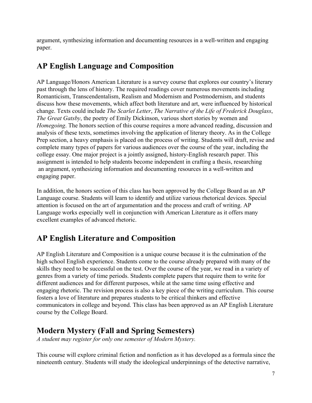argument, synthesizing information and documenting resources in a well-written and engaging paper.

## **AP English Language and Composition**

AP Language/Honors American Literature is a survey course that explores our country's literary past through the lens of history. The required readings cover numerous movements including Romanticism, Transcendentalism, Realism and Modernism and Postmodernism, and students discuss how these movements, which affect both literature and art, were influenced by historical change. Texts could include *The Scarlet Letter*, *The Narrative of the Life of Frederick Douglass*, *The Great Gatsby*, the poetry of Emily Dickinson, various short stories by women and *Homegoing*. The honors section of this course requires a more advanced reading, discussion and analysis of these texts, sometimes involving the application of literary theory. As in the College Prep section, a heavy emphasis is placed on the process of writing. Students will draft, revise and complete many types of papers for various audiences over the course of the year, including the college essay. One major project is a jointly assigned, history-English research paper. This assignment is intended to help students become independent in crafting a thesis, researching an argument, synthesizing information and documenting resources in a well-written and engaging paper.

In addition, the honors section of this class has been approved by the College Board as an AP Language course. Students will learn to identify and utilize various rhetorical devices. Special attention is focused on the art of argumentation and the process and craft of writing. AP Language works especially well in conjunction with American Literature as it offers many excellent examples of advanced rhetoric.

## **AP English Literature and Composition**

AP English Literature and Composition is a unique course because it is the culmination of the high school English experience. Students come to the course already prepared with many of the skills they need to be successful on the test. Over the course of the year, we read in a variety of genres from a variety of time periods. Students complete papers that require them to write for different audiences and for different purposes, while at the same time using effective and engaging rhetoric. The revision process is also a key piece of the writing curriculum. This course fosters a love of literature and prepares students to be critical thinkers and effective communicators in college and beyond. This class has been approved as an AP English Literature course by the College Board.

## **Modern Mystery (Fall and Spring Semesters)**

*A student may register for only one semester of Modern Mystery.*

This course will explore criminal fiction and nonfiction as it has developed as a formula since the nineteenth century. Students will study the ideological underpinnings of the detective narrative,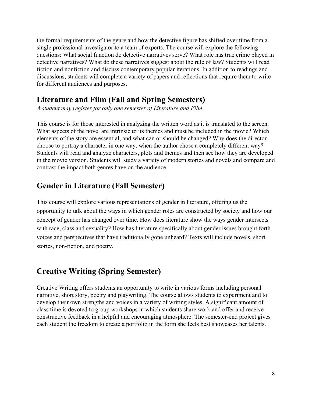the formal requirements of the genre and how the detective figure has shifted over time from a single professional investigator to a team of experts. The course will explore the following questions: What social function do detective narratives serve? What role has true crime played in detective narratives? What do these narratives suggest about the rule of law? Students will read fiction and nonfiction and discuss contemporary popular iterations. In addition to readings and discussions, students will complete a variety of papers and reflections that require them to write for different audiences and purposes.

#### **Literature and Film (Fall and Spring Semesters)**

*A student may register for only one semester of Literature and Film.*

This course is for those interested in analyzing the written word as it is translated to the screen. What aspects of the novel are intrinsic to its themes and must be included in the movie? Which elements of the story are essential, and what can or should be changed? Why does the director choose to portray a character in one way, when the author chose a completely different way? Students will read and analyze characters, plots and themes and then see how they are developed in the movie version. Students will study a variety of modern stories and novels and compare and contrast the impact both genres have on the audience.

### **Gender in Literature (Fall Semester)**

This course will explore various representations of gender in literature, offering us the opportunity to talk about the ways in which gender roles are constructed by society and how our concept of gender has changed over time. How does literature show the ways gender intersects with race, class and sexuality? How has literature specifically about gender issues brought forth voices and perspectives that have traditionally gone unheard? Texts will include novels, short stories, non-fiction, and poetry.

## **Creative Writing (Spring Semester)**

Creative Writing offers students an opportunity to write in various forms including personal narrative, short story, poetry and playwriting. The course allows students to experiment and to develop their own strengths and voices in a variety of writing styles. A significant amount of class time is devoted to group workshops in which students share work and offer and receive constructive feedback in a helpful and encouraging atmosphere. The semester-end project gives each student the freedom to create a portfolio in the form she feels best showcases her talents.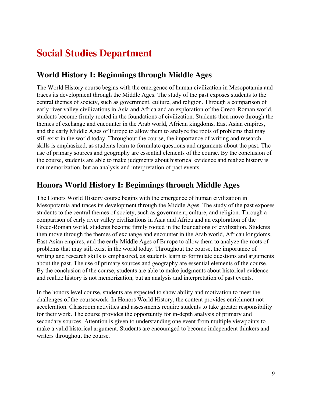## <span id="page-8-0"></span>**Social Studies Department**

#### **World History I: Beginnings through Middle Ages**

The World History course begins with the emergence of human civilization in Mesopotamia and traces its development through the Middle Ages. The study of the past exposes students to the central themes of society, such as government, culture, and religion. Through a comparison of early river valley civilizations in Asia and Africa and an exploration of the Greco-Roman world, students become firmly rooted in the foundations of civilization. Students then move through the themes of exchange and encounter in the Arab world, African kingdoms, East Asian empires, and the early Middle Ages of Europe to allow them to analyze the roots of problems that may still exist in the world today. Throughout the course, the importance of writing and research skills is emphasized, as students learn to formulate questions and arguments about the past. The use of primary sources and geography are essential elements of the course. By the conclusion of the course, students are able to make judgments about historical evidence and realize history is not memorization, but an analysis and interpretation of past events.

#### **Honors World History I: Beginnings through Middle Ages**

The Honors World History course begins with the emergence of human civilization in Mesopotamia and traces its development through the Middle Ages. The study of the past exposes students to the central themes of society, such as government, culture, and religion. Through a comparison of early river valley civilizations in Asia and Africa and an exploration of the Greco-Roman world, students become firmly rooted in the foundations of civilization. Students then move through the themes of exchange and encounter in the Arab world, African kingdoms, East Asian empires, and the early Middle Ages of Europe to allow them to analyze the roots of problems that may still exist in the world today. Throughout the course, the importance of writing and research skills is emphasized, as students learn to formulate questions and arguments about the past. The use of primary sources and geography are essential elements of the course. By the conclusion of the course, students are able to make judgments about historical evidence and realize history is not memorization, but an analysis and interpretation of past events.

In the honors level course, students are expected to show ability and motivation to meet the challenges of the coursework. In Honors World History, the content provides enrichment not acceleration. Classroom activities and assessments require students to take greater responsibility for their work. The course provides the opportunity for in-depth analysis of primary and secondary sources. Attention is given to understanding one event from multiple viewpoints to make a valid historical argument. Students are encouraged to become independent thinkers and writers throughout the course.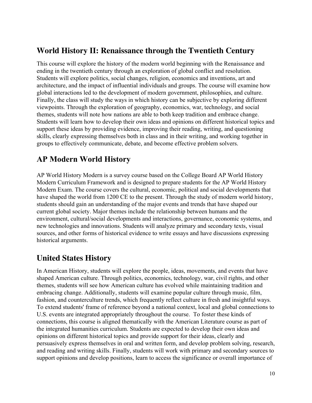#### **World History II: Renaissance through the Twentieth Century**

This course will explore the history of the modern world beginning with the Renaissance and ending in the twentieth century through an exploration of global conflict and resolution. Students will explore politics, social changes, religion, economics and inventions, art and architecture, and the impact of influential individuals and groups. The course will examine how global interactions led to the development of modern government, philosophies, and culture. Finally, the class will study the ways in which history can be subjective by exploring different viewpoints. Through the exploration of geography, economics, war, technology, and social themes, students will note how nations are able to both keep tradition and embrace change. Students will learn how to develop their own ideas and opinions on different historical topics and support these ideas by providing evidence, improving their reading, writing, and questioning skills, clearly expressing themselves both in class and in their writing, and working together in groups to effectively communicate, debate, and become effective problem solvers.

### **AP Modern World History**

AP World History Modern is a survey course based on the College Board AP World History Modern Curriculum Framework and is designed to prepare students for the AP World History Modern Exam. The course covers the cultural, economic, political and social developments that have shaped the world from 1200 CE to the present. Through the study of modern world history, students should gain an understanding of the major events and trends that have shaped our current global society. Major themes include the relationship between humans and the environment, cultural/social developments and interactions, governance, economic systems, and new technologies and innovations. Students will analyze primary and secondary texts, visual sources, and other forms of historical evidence to write essays and have discussions expressing historical arguments.

### **United States History**

In American History, students will explore the people, ideas, movements, and events that have shaped American culture. Through politics, economics, technology, war, civil rights, and other themes, students will see how American culture has evolved while maintaining tradition and embracing change. Additionally, students will examine popular culture through music, film, fashion, and counterculture trends, which frequently reflect culture in fresh and insightful ways. To extend students' frame of reference beyond a national context, local and global connections to U.S. events are integrated appropriately throughout the course. To foster these kinds of connections, this course is aligned thematically with the American Literature course as part of the integrated humanities curriculum. Students are expected to develop their own ideas and opinions on different historical topics and provide support for their ideas, clearly and persuasively express themselves in oral and written form, and develop problem solving, research, and reading and writing skills. Finally, students will work with primary and secondary sources to support opinions and develop positions, learn to access the significance or overall importance of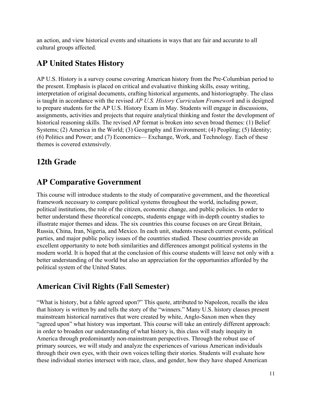an action, and view historical events and situations in ways that are fair and accurate to all cultural groups affected.

### **AP United States History**

AP U.S. History is a survey course covering American history from the Pre-Columbian period to the present. Emphasis is placed on critical and evaluative thinking skills, essay writing, interpretation of original documents, crafting historical arguments, and historiography. The class is taught in accordance with the revised *AP U.S. History Curriculum Framework* and is designed to prepare students for the AP U.S. History Exam in May. Students will engage in discussions, assignments, activities and projects that require analytical thinking and foster the development of historical reasoning skills. The revised AP format is broken into seven broad themes: (1) Belief Systems; (2) America in the World; (3) Geography and Environment; (4) Peopling; (5) Identity; (6) Politics and Power; and (7) Economics— Exchange, Work, and Technology. Each of these themes is covered extensively.

### **12th Grade**

#### **AP Comparative Government**

This course will introduce students to the study of comparative government, and the theoretical framework necessary to compare political systems throughout the world, including power, political institutions, the role of the citizen, economic change, and public policies. In order to better understand these theoretical concepts, students engage with in-depth country studies to illustrate major themes and ideas. The six countries this course focuses on are Great Britain, Russia, China, Iran, Nigeria, and Mexico. In each unit, students research current events, political parties, and major public policy issues of the countries studied. These countries provide an excellent opportunity to note both similarities and differences amongst political systems in the modern world. It is hoped that at the conclusion of this course students will leave not only with a better understanding of the world but also an appreciation for the opportunities afforded by the political system of the United States.

### **American Civil Rights (Fall Semester)**

"What is history, but a fable agreed upon?" This quote, attributed to Napoleon, recalls the idea that history is written by and tells the story of the "winners." Many U.S. history classes present mainstream historical narratives that were created by white, Anglo-Saxon men when they "agreed upon" what history was important. This course will take an entirely different approach: in order to broaden our understanding of what history is, this class will study inequity in America through predominantly non-mainstream perspectives. Through the robust use of primary sources, we will study and analyze the experiences of various American individuals through their own eyes, with their own voices telling their stories. Students will evaluate how these individual stories intersect with race, class, and gender, how they have shaped American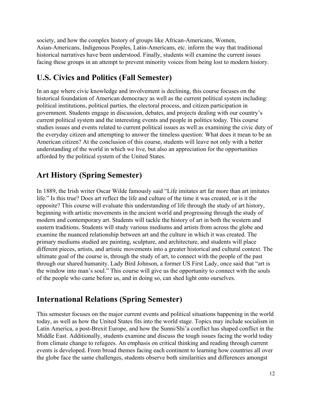society, and how the complex history of groups like African-Americans, Women, Asian-Americans, Indigenous Peoples, Latin-Americans, etc. inform the way that traditional historical narratives have been understood. Finally, students will examine the current issues facing these groups in an attempt to prevent minority voices from being lost to modern history.

## **U.S. Civics and Politics (Fall Semester)**

In an age where civic knowledge and involvement is declining, this course focuses on the historical foundation of American democracy as well as the current political system including: political institutions, political parties, the electoral process, and citizen participation in government. Students engage in discussion, debates, and projects dealing with our country's current political system and the interesting events and people in politics today. This course studies issues and events related to current political issues as well as examining the civic duty of the everyday citizen and attempting to answer the timeless question: What does it mean to be an American citizen? At the conclusion of this course, students will leave not only with a better understanding of the world in which we live, but also an appreciation for the opportunities afforded by the political system of the United States.

## **Art History (Spring Semester)**

In 1889, the Irish writer Oscar Wilde famously said "Life imitates art far more than art imitates life." Is this true? Does art reflect the life and culture of the time it was created, or is it the opposite? This course will evaluate this understanding of life through the study of art history, beginning with artistic movements in the ancient world and progressing through the study of modern and contemporary art. Students will tackle the history of art in both the western and eastern traditions. Students will study various mediums and artists from across the globe and examine the nuanced relationship between art and the culture in which it was created. The primary mediums studied are painting, sculpture, and architecture, and students will place different pieces, artists, and artistic movements into a greater historical and cultural context. The ultimate goal of the course is, through the study of art, to connect with the people of the past through our shared humanity. Lady Bird Johnson, a former US First Lady, once said that "art is the window into man's soul." This course will give us the opportunity to connect with the souls of the people who came before us, and in doing so, can shed light onto ourselves.

### **International Relations (Spring Semester)**

This semester focuses on the major current events and political situations happening in the world today, as well as how the United States fits into the world stage. Topics may include socialism in Latin America, a post-Brexit Europe, and how the Sunni/Shi'a conflict has shaped conflict in the Middle East. Additionally, students examine and discuss the tough issues facing the world today from climate change to refugees. An emphasis on critical thinking and reading through current events is developed. From broad themes facing each continent to learning how countries all over the globe face the same challenges, students observe both similarities and differences amongst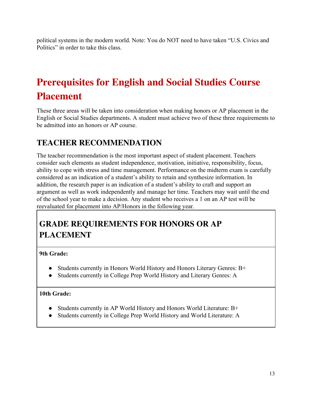political systems in the modern world. Note: You do NOT need to have taken "U.S. Civics and Politics" in order to take this class.

# <span id="page-12-0"></span>**Prerequisites for English and Social Studies Course Placement**

These three areas will be taken into consideration when making honors or AP placement in the English or Social Studies departments. A student must achieve two of these three requirements to be admitted into an honors or AP course.

### **TEACHER RECOMMENDATION**

The teacher recommendation is the most important aspect of student placement. Teachers consider such elements as student independence, motivation, initiative, responsibility, focus, ability to cope with stress and time management. Performance on the midterm exam is carefully considered as an indication of a student's ability to retain and synthesize information. In addition, the research paper is an indication of a student's ability to craft and support an argument as well as work independently and manage her time. Teachers may wait until the end of the school year to make a decision. Any student who receives a 1 on an AP test will be reevaluated for placement into AP/Honors in the following year.

## **GRADE REQUIREMENTS FOR HONORS OR AP PLACEMENT**

#### **9th Grade:**

- Students currently in Honors World History and Honors Literary Genres: B+
- Students currently in College Prep World History and Literary Genres: A

#### **10th Grade:**

- Students currently in AP World History and Honors World Literature: B+
- Students currently in College Prep World History and World Literature: A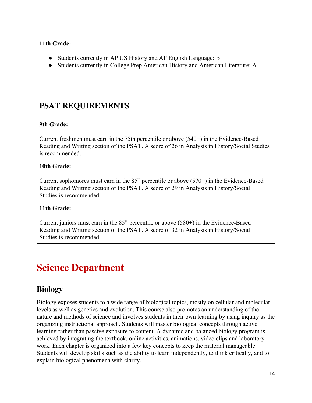#### **11th Grade:**

- Students currently in AP US History and AP English Language: B
- Students currently in College Prep American History and American Literature: A

## **PSAT REQUIREMENTS**

#### **9th Grade:**

Current freshmen must earn in the 75th percentile or above (540+) in the Evidence-Based Reading and Writing section of the PSAT. A score of 26 in Analysis in History/Social Studies is recommended.

#### **10th Grade:**

Current sophomores must earn in the  $85<sup>th</sup>$  percentile or above (570+) in the Evidence-Based Reading and Writing section of the PSAT. A score of 29 in Analysis in History/Social Studies is recommended.

#### **11th Grade:**

Current juniors must earn in the  $85<sup>th</sup>$  percentile or above (580+) in the Evidence-Based Reading and Writing section of the PSAT. A score of 32 in Analysis in History/Social Studies is recommended.

# <span id="page-13-0"></span>**Science Department**

#### **Biology**

Biology exposes students to a wide range of biological topics, mostly on cellular and molecular levels as well as genetics and evolution. This course also promotes an understanding of the nature and methods of science and involves students in their own learning by using inquiry as the organizing instructional approach. Students will master biological concepts through active learning rather than passive exposure to content. A dynamic and balanced biology program is achieved by integrating the textbook, online activities, animations, video clips and laboratory work. Each chapter is organized into a few key concepts to keep the material manageable. Students will develop skills such as the ability to learn independently, to think critically, and to explain biological phenomena with clarity.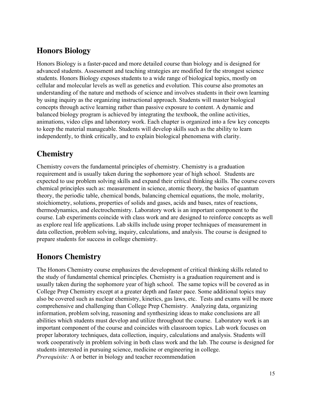### **Honors Biology**

Honors Biology is a faster-paced and more detailed course than biology and is designed for advanced students. Assessment and teaching strategies are modified for the strongest science students. Honors Biology exposes students to a wide range of biological topics, mostly on cellular and molecular levels as well as genetics and evolution. This course also promotes an understanding of the nature and methods of science and involves students in their own learning by using inquiry as the organizing instructional approach. Students will master biological concepts through active learning rather than passive exposure to content. A dynamic and balanced biology program is achieved by integrating the textbook, the online activities, animations, video clips and laboratory work. Each chapter is organized into a few key concepts to keep the material manageable. Students will develop skills such as the ability to learn independently, to think critically, and to explain biological phenomena with clarity.

## **Chemistry**

Chemistry covers the fundamental principles of chemistry. Chemistry is a graduation requirement and is usually taken during the sophomore year of high school. Students are expected to use problem solving skills and expand their critical thinking skills. The course covers chemical principles such as: measurement in science, atomic theory, the basics of quantum theory, the periodic table, chemical bonds, balancing chemical equations, the mole, molarity, stoichiometry, solutions, properties of solids and gases, acids and bases, rates of reactions, thermodynamics, and electrochemistry. Laboratory work is an important component to the course. Lab experiments coincide with class work and are designed to reinforce concepts as well as explore real life applications. Lab skills include using proper techniques of measurement in data collection, problem solving, inquiry, calculations, and analysis. The course is designed to prepare students for success in college chemistry.

### **Honors Chemistry**

The Honors Chemistry course emphasizes the development of critical thinking skills related to the study of fundamental chemical principles. Chemistry is a graduation requirement and is usually taken during the sophomore year of high school. The same topics will be covered as in College Prep Chemistry except at a greater depth and faster pace. Some additional topics may also be covered such as nuclear chemistry, kinetics, gas laws, etc. Tests and exams will be more comprehensive and challenging than College Prep Chemistry. Analyzing data, organizing information, problem solving, reasoning and synthesizing ideas to make conclusions are all abilities which students must develop and utilize throughout the course. Laboratory work is an important component of the course and coincides with classroom topics. Lab work focuses on proper laboratory techniques, data collection, inquiry, calculations and analysis. Students will work cooperatively in problem solving in both class work and the lab. The course is designed for students interested in pursuing science, medicine or engineering in college. *Prerequisite:* A or better in biology and teacher recommendation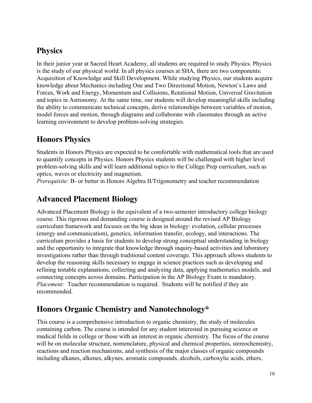### **Physics**

In their junior year at Sacred Heart Academy, all students are required to study Physics. Physics is the study of our physical world. In all physics courses at SHA, there are two components: Acquisition of Knowledge and Skill Development. While studying Physics, our students acquire knowledge about Mechanics including One and Two Directional Motion, Newton's Laws and Forces, Work and Energy, Momentum and Collisions, Rotational Motion, Universal Gravitation and topics in Astronomy. At the same time, our students will develop meaningful skills including the ability to communicate technical concepts, derive relationships between variables of motion, model forces and motion, through diagrams and collaborate with classmates through an active learning environment to develop problem-solving strategies.

## **Honors Physics**

Students in Honors Physics are expected to be comfortable with mathematical tools that are used to quantify concepts in Physics. Honors Physics students will be challenged with higher level problem-solving skills and will learn additional topics to the College Prep curriculum, such as optics, waves or electricity and magnetism.

*Prerequisite:* B- or better in Honors Algebra II/Trigonometry and teacher recommendation

#### **Advanced Placement Biology**

Advanced Placement Biology is the equivalent of a two-semester introductory college biology course. This rigorous and demanding course is designed around the revised AP Biology curriculum framework and focuses on the big ideas in biology: evolution, cellular processes (energy and communication), genetics, information transfer, ecology, and interactions. The curriculum provides a basis for students to develop strong conceptual understanding in biology and the opportunity to integrate that knowledge through inquiry-based activities and laboratory investigations rather than through traditional content coverage. This approach allows students to develop the reasoning skills necessary to engage in science practices such as developing and refining testable explanations, collecting and analyzing data, applying mathematics models, and connecting concepts across domains. Participation in the AP Biology Exam is mandatory. *Placement:* Teacher recommendation is required. Students will be notified if they are recommended.

### **Honors Organic Chemistry and Nanotechnology\***

This course is a comprehensive introduction to organic chemistry, the study of molecules containing carbon. The course is intended for any student interested in pursuing science or medical fields in college or those with an interest in organic chemistry. The focus of the course will be on molecular structure, nomenclature, physical and chemical properties, stereochemistry, reactions and reaction mechanisms, and synthesis of the major classes of organic compounds including alkanes, alkenes, alkynes, aromatic compounds, alcohols, carboxylic acids, ethers,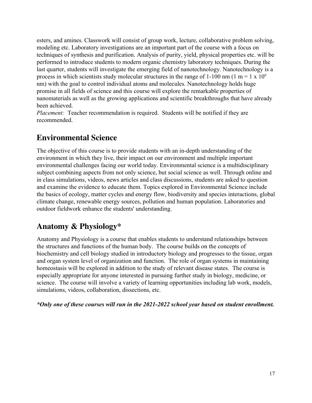esters, and amines. Classwork will consist of group work, lecture, collaborative problem solving, modeling etc. Laboratory investigations are an important part of the course with a focus on techniques of synthesis and purification. Analysis of purity, yield, physical properties etc. will be performed to introduce students to modern organic chemistry laboratory techniques. During the last quarter, students will investigate the emerging field of nanotechnology. Nanotechnology is a process in which scientists study molecular structures in the range of 1-100 nm (1 m = 1 x 10<sup>9</sup>) nm) with the goal to control individual atoms and molecules. Nanotechnology holds huge promise in all fields of science and this course will explore the remarkable properties of nanomaterials as well as the growing applications and scientific breakthroughs that have already been achieved.

*Placement:* Teacher recommendation is required. Students will be notified if they are recommended.

### **Environmental Science**

The objective of this course is to provide students with an in-depth understanding of the environment in which they live, their impact on our environment and multiple important environmental challenges facing our world today. Environmental science is a multidisciplinary subject combining aspects from not only science, but social science as well. Through online and in class simulations, videos, news articles and class discussions, students are asked to question and examine the evidence to educate them. Topics explored in Environmental Science include the basics of ecology, matter cycles and energy flow, biodiversity and species interactions, global climate change, renewable energy sources, pollution and human population. Laboratories and outdoor fieldwork enhance the students' understanding.

### **Anatomy & Physiology\***

Anatomy and Physiology is a course that enables students to understand relationships between the structures and functions of the human body. The course builds on the concepts of biochemistry and cell biology studied in introductory biology and progresses to the tissue, organ and organ system level of organization and function. The role of organ systems in maintaining homeostasis will be explored in addition to the study of relevant disease states. The course is especially appropriate for anyone interested in pursuing further study in biology, medicine, or science. The course will involve a variety of learning opportunities including lab work, models, simulations, videos, collaboration, dissections, etc.

*\*Only one of these courses will run in the 2021-2022 school year based on student enrollment.*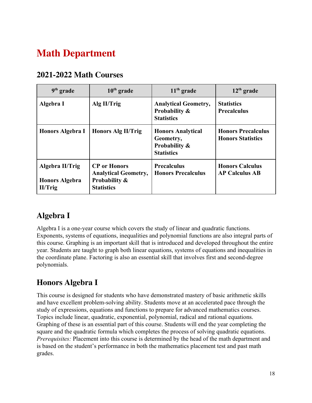# <span id="page-17-0"></span>**Math Department**

| 2021-2022 Math Courses |  |  |
|------------------------|--|--|
|------------------------|--|--|

| $9th$ grade                                         | $10th$ grade                                                                                        | $11th$ grade                                                                           | $12th$ grade                                          |
|-----------------------------------------------------|-----------------------------------------------------------------------------------------------------|----------------------------------------------------------------------------------------|-------------------------------------------------------|
| Algebra I                                           | Alg II/Trig                                                                                         | <b>Analytical Geometry,</b><br>Probability &<br><b>Statistics</b>                      | <b>Statistics</b><br><b>Precalculus</b>               |
| Honors Algebra I                                    | <b>Honors Alg II/Trig</b>                                                                           | <b>Honors Analytical</b><br>Geometry,<br><b>Probability &amp;</b><br><b>Statistics</b> | <b>Honors Precalculus</b><br><b>Honors Statistics</b> |
| Algebra II/Trig<br><b>Honors Algebra</b><br>II/Trig | <b>CP</b> or Honors<br><b>Analytical Geometry,</b><br><b>Probability &amp;</b><br><b>Statistics</b> | <b>Precalculus</b><br><b>Honors Precalculus</b>                                        | <b>Honors Calculus</b><br><b>AP Calculus AB</b>       |

## **Algebra I**

Algebra I is a one-year course which covers the study of linear and quadratic functions. Exponents, systems of equations, inequalities and polynomial functions are also integral parts of this course. Graphing is an important skill that is introduced and developed throughout the entire year. Students are taught to graph both linear equations, systems of equations and inequalities in the coordinate plane. Factoring is also an essential skill that involves first and second-degree polynomials.

## **Honors Algebra I**

This course is designed for students who have demonstrated mastery of basic arithmetic skills and have excellent problem-solving ability. Students move at an accelerated pace through the study of expressions, equations and functions to prepare for advanced mathematics courses. Topics include linear, quadratic, exponential, polynomial, radical and rational equations. Graphing of these is an essential part of this course. Students will end the year completing the square and the quadratic formula which completes the process of solving quadratic equations. *Prerequisites:* Placement into this course is determined by the head of the math department and is based on the student's performance in both the mathematics placement test and past math grades.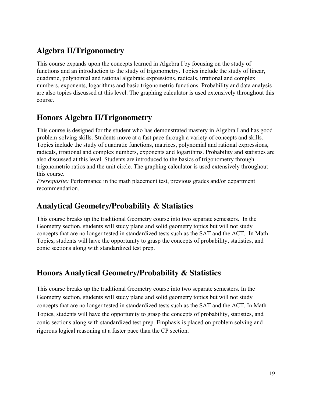## **Algebra II/Trigonometry**

This course expands upon the concepts learned in Algebra I by focusing on the study of functions and an introduction to the study of trigonometry. Topics include the study of linear, quadratic, polynomial and rational algebraic expressions, radicals, irrational and complex numbers, exponents, logarithms and basic trigonometric functions. Probability and data analysis are also topics discussed at this level. The graphing calculator is used extensively throughout this course.

### **Honors Algebra II/Trigonometry**

This course is designed for the student who has demonstrated mastery in Algebra I and has good problem-solving skills. Students move at a fast pace through a variety of concepts and skills. Topics include the study of quadratic functions, matrices, polynomial and rational expressions, radicals, irrational and complex numbers, exponents and logarithms. Probability and statistics are also discussed at this level. Students are introduced to the basics of trigonometry through trigonometric ratios and the unit circle. The graphing calculator is used extensively throughout this course.

*Prerequisite:* Performance in the math placement test, previous grades and/or department recommendation.

## **Analytical Geometry/Probability & Statistics**

This course breaks up the traditional Geometry course into two separate semesters. In the Geometry section, students will study plane and solid geometry topics but will not study concepts that are no longer tested in standardized tests such as the SAT and the ACT. In Math Topics, students will have the opportunity to grasp the concepts of probability, statistics, and conic sections along with standardized test prep.

### **Honors Analytical Geometry/Probability & Statistics**

This course breaks up the traditional Geometry course into two separate semesters. In the Geometry section, students will study plane and solid geometry topics but will not study concepts that are no longer tested in standardized tests such as the SAT and the ACT. In Math Topics, students will have the opportunity to grasp the concepts of probability, statistics, and conic sections along with standardized test prep. Emphasis is placed on problem solving and rigorous logical reasoning at a faster pace than the CP section.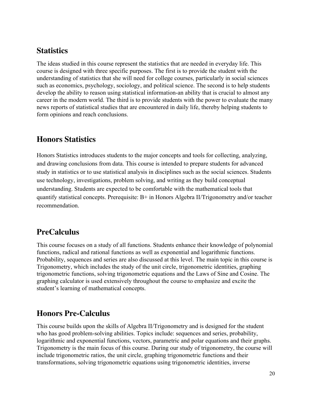#### **Statistics**

The ideas studied in this course represent the statistics that are needed in everyday life. This course is designed with three specific purposes. The first is to provide the student with the understanding of statistics that she will need for college courses, particularly in social sciences such as economics, psychology, sociology, and political science. The second is to help students develop the ability to reason using statistical information-an ability that is crucial to almost any career in the modern world. The third is to provide students with the power to evaluate the many news reports of statistical studies that are encountered in daily life, thereby helping students to form opinions and reach conclusions.

#### **Honors Statistics**

Honors Statistics introduces students to the major concepts and tools for collecting, analyzing, and drawing conclusions from data. This course is intended to prepare students for advanced study in statistics or to use statistical analysis in disciplines such as the social sciences. Students use technology, investigations, problem solving, and writing as they build conceptual understanding. Students are expected to be comfortable with the mathematical tools that quantify statistical concepts. Prerequisite: B+ in Honors Algebra II/Trigonometry and/or teacher recommendation.

#### **PreCalculus**

This course focuses on a study of all functions. Students enhance their knowledge of polynomial functions, radical and rational functions as well as exponential and logarithmic functions. Probability, sequences and series are also discussed at this level. The main topic in this course is Trigonometry, which includes the study of the unit circle, trigonometric identities, graphing trigonometric functions, solving trigonometric equations and the Laws of Sine and Cosine. The graphing calculator is used extensively throughout the course to emphasize and excite the student's learning of mathematical concepts.

#### **Honors Pre-Calculus**

This course builds upon the skills of Algebra II/Trigonometry and is designed for the student who has good problem-solving abilities. Topics include: sequences and series, probability, logarithmic and exponential functions, vectors, parametric and polar equations and their graphs. Trigonometry is the main focus of this course. During our study of trigonometry, the course will include trigonometric ratios, the unit circle, graphing trigonometric functions and their transformations, solving trigonometric equations using trigonometric identities, inverse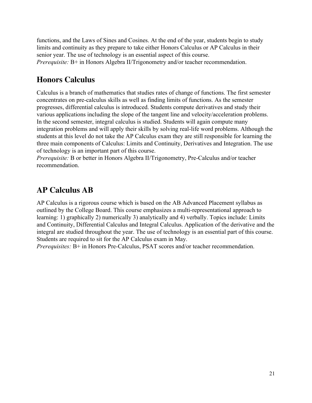functions, and the Laws of Sines and Cosines. At the end of the year, students begin to study limits and continuity as they prepare to take either Honors Calculus or AP Calculus in their senior year. The use of technology is an essential aspect of this course. *Prerequisite:* B+ in Honors Algebra II/Trigonometry and/or teacher recommendation.

#### **Honors Calculus**

Calculus is a branch of mathematics that studies rates of change of functions. The first semester concentrates on pre-calculus skills as well as finding limits of functions. As the semester progresses, differential calculus is introduced. Students compute derivatives and study their various applications including the slope of the tangent line and velocity/acceleration problems. In the second semester, integral calculus is studied. Students will again compute many integration problems and will apply their skills by solving real-life word problems. Although the students at this level do not take the AP Calculus exam they are still responsible for learning the three main components of Calculus: Limits and Continuity, Derivatives and Integration. The use of technology is an important part of this course.

*Prerequisite:* B or better in Honors Algebra II/Trigonometry, Pre-Calculus and/or teacher recommendation.

#### **AP Calculus AB**

AP Calculus is a rigorous course which is based on the AB Advanced Placement syllabus as outlined by the College Board. This course emphasizes a multi-representational approach to learning: 1) graphically 2) numerically 3) analytically and 4) verbally. Topics include: Limits and Continuity, Differential Calculus and Integral Calculus. Application of the derivative and the integral are studied throughout the year. The use of technology is an essential part of this course. Students are required to sit for the AP Calculus exam in May.

*Prerequisites:* B+ in Honors Pre-Calculus, PSAT scores and/or teacher recommendation.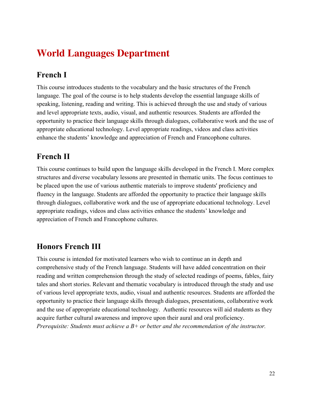## <span id="page-21-0"></span>**World Languages Department**

## **French I**

This course introduces students to the vocabulary and the basic structures of the French language. The goal of the course is to help students develop the essential language skills of speaking, listening, reading and writing. This is achieved through the use and study of various and level appropriate texts, audio, visual, and authentic resources. Students are afforded the opportunity to practice their language skills through dialogues, collaborative work and the use of appropriate educational technology. Level appropriate readings, videos and class activities enhance the students' knowledge and appreciation of French and Francophone cultures.

### **French II**

This course continues to build upon the language skills developed in the French I. More complex structures and diverse vocabulary lessons are presented in thematic units. The focus continues to be placed upon the use of various authentic materials to improve students' proficiency and fluency in the language. Students are afforded the opportunity to practice their language skills through dialogues, collaborative work and the use of appropriate educational technology. Level appropriate readings, videos and class activities enhance the students' knowledge and appreciation of French and Francophone cultures.

## **Honors French III**

This course is intended for motivated learners who wish to continue an in depth and comprehensive study of the French language. Students will have added concentration on their reading and written comprehension through the study of selected readings of poems, fables, fairy tales and short stories. Relevant and thematic vocabulary is introduced through the study and use of various level appropriate texts, audio, visual and authentic resources. Students are afforded the opportunity to practice their language skills through dialogues, presentations, collaborative work and the use of appropriate educational technology. Authentic resources will aid students as they acquire further cultural awareness and improve upon their aural and oral proficiency. *Prerequisite: Students must achieve a B+ or better and the recommendation of the instructor.*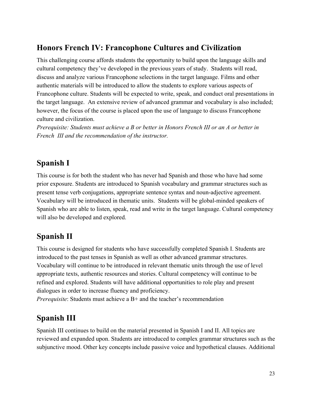### **Honors French IV: Francophone Cultures and Civilization**

This challenging course affords students the opportunity to build upon the language skills and cultural competency they've developed in the previous years of study. Students will read, discuss and analyze various Francophone selections in the target language. Films and other authentic materials will be introduced to allow the students to explore various aspects of Francophone culture. Students will be expected to write, speak, and conduct oral presentations in the target language. An extensive review of advanced grammar and vocabulary is also included; however, the focus of the course is placed upon the use of language to discuss Francophone culture and civilization.

*Prerequisite: Students must achieve a B or better in Honors French III or an A or better in French III and the recommendation of the instructor.*

#### **Spanish I**

This course is for both the student who has never had Spanish and those who have had some prior exposure. Students are introduced to Spanish vocabulary and grammar structures such as present tense verb conjugations, appropriate sentence syntax and noun-adjective agreement. Vocabulary will be introduced in thematic units. Students will be global-minded speakers of Spanish who are able to listen, speak, read and write in the target language. Cultural competency will also be developed and explored.

### **Spanish II**

This course is designed for students who have successfully completed Spanish I. Students are introduced to the past tenses in Spanish as well as other advanced grammar structures. Vocabulary will continue to be introduced in relevant thematic units through the use of level appropriate texts, authentic resources and stories. Cultural competency will continue to be refined and explored. Students will have additional opportunities to role play and present dialogues in order to increase fluency and proficiency.

*Prerequisite*: Students must achieve a B+ and the teacher's recommendation

### **Spanish III**

Spanish III continues to build on the material presented in Spanish I and II. All topics are reviewed and expanded upon. Students are introduced to complex grammar structures such as the subjunctive mood. Other key concepts include passive voice and hypothetical clauses. Additional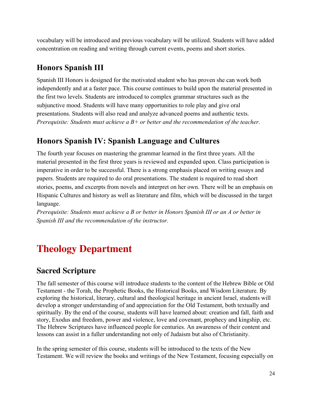vocabulary will be introduced and previous vocabulary will be utilized. Students will have added concentration on reading and writing through current events, poems and short stories.

### **Honors Spanish III**

Spanish III Honors is designed for the motivated student who has proven she can work both independently and at a faster pace. This course continues to build upon the material presented in the first two levels. Students are introduced to complex grammar structures such as the subjunctive mood. Students will have many opportunities to role play and give oral presentations. Students will also read and analyze advanced poems and authentic texts. *Prerequisite: Students must achieve a B+ or better and the recommendation of the teacher*.

### **Honors Spanish IV: Spanish Language and Cultures**

The fourth year focuses on mastering the grammar learned in the first three years. All the material presented in the first three years is reviewed and expanded upon. Class participation is imperative in order to be successful. There is a strong emphasis placed on writing essays and papers. Students are required to do oral presentations. The student is required to read short stories, poems, and excerpts from novels and interpret on her own. There will be an emphasis on Hispanic Cultures and history as well as literature and film, which will be discussed in the target language.

*Prerequisite: Students must achieve a B or better in Honors Spanish III or an A or better in Spanish III and the recommendation of the instructor.*

# <span id="page-23-0"></span>**Theology Department**

#### **Sacred Scripture**

The fall semester of this course will introduce students to the content of the Hebrew Bible or Old Testament - the Torah, the Prophetic Books, the Historical Books, and Wisdom Literature. By exploring the historical, literary, cultural and theological heritage in ancient Israel, students will develop a stronger understanding of and appreciation for the Old Testament, both textually and spiritually. By the end of the course, students will have learned about: creation and fall, faith and story, Exodus and freedom, power and violence, love and covenant, prophecy and kingship, etc. The Hebrew Scriptures have influenced people for centuries. An awareness of their content and lessons can assist in a fuller understanding not only of Judaism but also of Christianity.

In the spring semester of this course, students will be introduced to the texts of the New Testament. We will review the books and writings of the New Testament, focusing especially on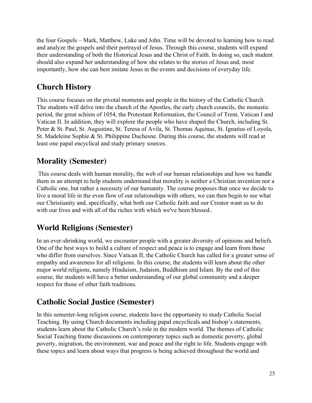the four Gospels – Mark, Matthew, Luke and John. Time will be devoted to learning how to read and analyze the gospels and their portrayal of Jesus. Through this course, students will expand their understanding of both the Historical Jesus and the Christ of Faith. In doing so, each student should also expand her understanding of how she relates to the stories of Jesus and, most importantly, how she can best imitate Jesus in the events and decisions of everyday life.

### **Church History**

This course focuses on the pivotal moments and people in the history of the Catholic Church. The students will delve into the church of the Apostles, the early church councils, the monastic period, the great schism of 1054, the Protestant Reformation, the Council of Trent, Vatican I and Vatican II. In addition, they will explore the people who have shaped the Church, including St. Peter & St. Paul, St. Augustine, St. Teresa of Avila, St. Thomas Aquinas, St. Ignatius of Loyola, St. Madeleine Sophie & St. Philippine Duchesne. During this course, the students will read at least one papal encyclical and study primary sources.

## **Morality (Semester)**

 This course deals with human morality, the web of our human relationships and how we handle them in an attempt to help students understand that morality is neither a Christian invention nor a Catholic one, but rather a necessity of our humanity. The course proposes that once we decide to live a moral life in the even flow of our relationships with others, we can then begin to see what our Christianity and, specifically, what both our Catholic faith and our Creator want us to do with our lives and with all of the riches with which we've been blessed..

## **World Religions (Semester)**

In an ever-shrinking world, we encounter people with a greater diversity of opinions and beliefs. One of the best ways to build a culture of respect and peace is to engage and learn from those who differ from ourselves. Since Vatican II, the Catholic Church has called for a greater sense of empathy and awareness for all religions. In this course, the students will learn about the other major world religions, namely Hinduism, Judaism, Buddhism and Islam. By the end of this course, the students will have a better understanding of our global community and a deeper respect for those of other faith traditions.

## **Catholic Social Justice (Semester)**

In this semester-long religion course, students have the opportunity to study Catholic Social Teaching. By using Church documents including papal encyclicals and bishop's statements, students learn about the Catholic Church's role in the modern world. The themes of Catholic Social Teaching frame discussions on contemporary topics such as domestic poverty, global poverty, migration, the environment, war and peace and the right to life. Students engage with these topics and learn about ways that progress is being achieved throughout the world and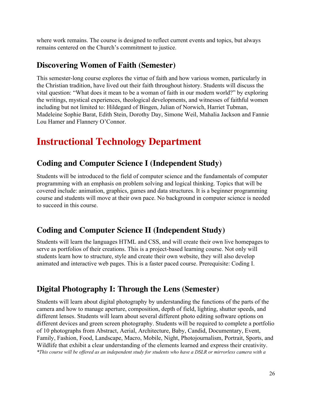where work remains. The course is designed to reflect current events and topics, but always remains centered on the Church's commitment to justice.

#### **Discovering Women of Faith (Semester)**

This semester-long course explores the virtue of faith and how various women, particularly in the Christian tradition, have lived out their faith throughout history. Students will discuss the vital question: "What does it mean to be a woman of faith in our modern world?" by exploring the writings, mystical experiences, theological developments, and witnesses of faithful women including but not limited to: Hildegard of Bingen, Julian of Norwich, Harriet Tubman, Madeleine Sophie Barat, Edith Stein, Dorothy Day, Simone Weil, Mahalia Jackson and Fannie Lou Hamer and Flannery O'Connor.

# **Instructional Technology Department**

#### **Coding and Computer Science I (Independent Study)**

Students will be introduced to the field of computer science and the fundamentals of computer programming with an emphasis on problem solving and logical thinking. Topics that will be covered include: animation, graphics, games and data structures. It is a beginner programming course and students will move at their own pace. No background in computer science is needed to succeed in this course.

## **Coding and Computer Science II (Independent Study)**

Students will learn the languages HTML and CSS, and will create their own live homepages to serve as portfolios of their creations. This is a project-based learning course. Not only will students learn how to structure, style and create their own website, they will also develop animated and interactive web pages. This is a faster paced course. Prerequisite: Coding I.

#### **Digital Photography I: Through the Lens (Semester)**

Students will learn about digital photography by understanding the functions of the parts of the camera and how to manage aperture, composition, depth of field, lighting, shutter speeds, and different lenses. Students will learn about several different photo editing software options on different devices and green screen photography. Students will be required to complete a portfolio of 10 photographs from Abstract, Aerial, Architecture, Baby, Candid, Documentary, Event, Family, Fashion, Food, Landscape, Macro, Mobile, Night, Photojournalism, Portrait, Sports, and Wildlife that exhibit a clear understanding of the elements learned and express their creativity. \*This course will be offered as an independent study for students who have a DSLR or mirrorless camera with a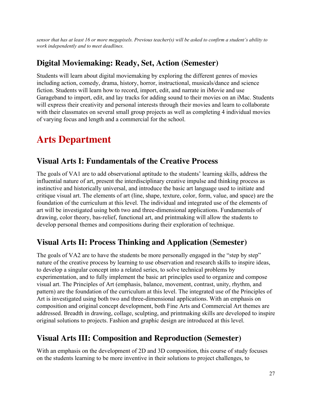sensor that has at least 16 or more megapixels. Previous teacher(s) will be asked to confirm a student's ability to *work independently and to meet deadlines.*

#### **Digital Moviemaking: Ready, Set, Action (Semester)**

Students will learn about digital moviemaking by exploring the different genres of movies including action, comedy, drama, history, horror, instructional, musicals/dance and science fiction. Students will learn how to record, import, edit, and narrate in iMovie and use Garageband to import, edit, and lay tracks for adding sound to their movies on an iMac. Students will express their creativity and personal interests through their movies and learn to collaborate with their classmates on several small group projects as well as completing 4 individual movies of varying focus and length and a commercial for the school.

## <span id="page-26-0"></span>**Arts Department**

#### **Visual Arts I: Fundamentals of the Creative Process**

The goals of VA1 are to add observational aptitude to the students' learning skills, address the influential nature of art, present the interdisciplinary creative impulse and thinking process as instinctive and historically universal, and introduce the basic art language used to initiate and critique visual art. The elements of art (line, shape, texture, color, form, value, and space) are the foundation of the curriculum at this level. The individual and integrated use of the elements of art will be investigated using both two and three-dimensional applications. Fundamentals of drawing, color theory, bas-relief, functional art, and printmaking will allow the students to develop personal themes and compositions during their exploration of technique.

#### **Visual Arts II: Process Thinking and Application (Semester)**

The goals of VA2 are to have the students be more personally engaged in the "step by step" nature of the creative process by learning to use observation and research skills to inspire ideas, to develop a singular concept into a related series, to solve technical problems by experimentation, and to fully implement the basic art principles used to organize and compose visual art. The Principles of Art (emphasis, balance, movement, contrast, unity, rhythm, and pattern) are the foundation of the curriculum at this level. The integrated use of the Principles of Art is investigated using both two and three-dimensional applications. With an emphasis on composition and original concept development, both Fine Arts and Commercial Art themes are addressed. Breadth in drawing, collage, sculpting, and printmaking skills are developed to inspire original solutions to projects. Fashion and graphic design are introduced at this level.

#### **Visual Arts III: Composition and Reproduction (Semester)**

With an emphasis on the development of 2D and 3D composition, this course of study focuses on the students learning to be more inventive in their solutions to project challenges, to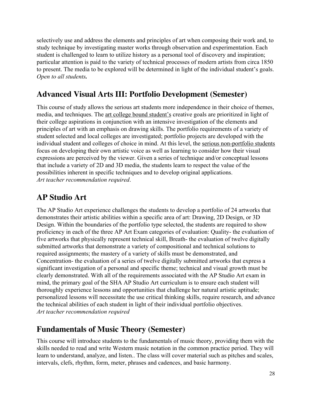selectively use and address the elements and principles of art when composing their work and, to study technique by investigating master works through observation and experimentation. Each student is challenged to learn to utilize history as a personal tool of discovery and inspiration; particular attention is paid to the variety of technical processes of modern artists from circa 1850 to present. The media to be explored will be determined in light of the individual student's goals. *Open to all students.*

## **Advanced Visual Arts III: Portfolio Development (Semester)**

This course of study allows the serious art students more independence in their choice of themes, media, and techniques. The art college bound student's creative goals are prioritized in light of their college aspirations in conjunction with an intensive investigation of the elements and principles of art with an emphasis on drawing skills. The portfolio requirements of a variety of student selected and local colleges are investigated; portfolio projects are developed with the individual student and colleges of choice in mind. At this level, the serious non-portfolio students focus on developing their own artistic voice as well as learning to consider how their visual expressions are perceived by the viewer. Given a series of technique and/or conceptual lessons that include a variety of 2D and 3D media, the students learn to respect the value of the possibilities inherent in specific techniques and to develop original applications. *Art teacher recommendation required*.

### **AP Studio Art**

The AP Studio Art experience challenges the students to develop a portfolio of 24 artworks that demonstrates their artistic abilities within a specific area of art: Drawing, 2D Design, or 3D Design. Within the boundaries of the portfolio type selected, the students are required to show proficiency in each of the three AP Art Exam categories of evaluation: Quality- the evaluation of five artworks that physically represent technical skill, Breath- the evaluation of twelve digitally submitted artworks that demonstrate a variety of compositional and technical solutions to required assignments; the mastery of a variety of skills must be demonstrated, and Concentration- the evaluation of a series of twelve digitally submitted artworks that express a significant investigation of a personal and specific theme; technical and visual growth must be clearly demonstrated. With all of the requirements associated with the AP Studio Art exam in mind, the primary goal of the SHA AP Studio Art curriculum is to ensure each student will thoroughly experience lessons and opportunities that challenge her natural artistic aptitude; personalized lessons will necessitate the use critical thinking skills, require research, and advance the technical abilities of each student in light of their individual portfolio objectives. *Art teacher recommendation required*

## **Fundamentals of Music Theory (Semester)**

This course will introduce students to the fundamentals of music theory, providing them with the skills needed to read and write Western music notation in the common practice period. They will learn to understand, analyze, and listen.. The class will cover material such as pitches and scales, intervals, clefs, rhythm, form, meter, phrases and cadences, and basic harmony.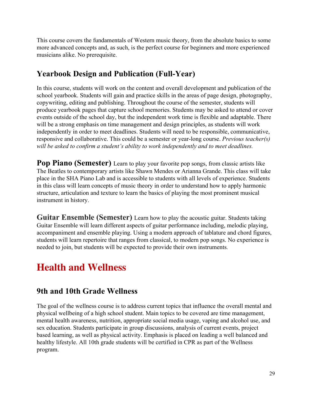This course covers the fundamentals of Western music theory, from the absolute basics to some more advanced concepts and, as such, is the perfect course for beginners and more experienced musicians alike. No prerequisite.

## **Yearbook Design and Publication (Full-Year)**

In this course, students will work on the content and overall development and publication of the school yearbook. Students will gain and practice skills in the areas of page design, photography, copywriting, editing and publishing. Throughout the course of the semester, students will produce yearbook pages that capture school memories. Students may be asked to attend or cover events outside of the school day, but the independent work time is flexible and adaptable. There will be a strong emphasis on time management and design principles, as students will work independently in order to meet deadlines. Students will need to be responsible, communicative, responsive and collaborative. This could be a semester or year-long course. *Previous teacher(s) will be asked to confirm a student's ability to work independently and to meet deadlines.*

**Pop Piano (Semester)** Learn to play your favorite pop songs, from classic artists like The Beatles to contemporary artists like Shawn Mendes or Arianna Grande. This class will take place in the SHA Piano Lab and is accessible to students with all levels of experience. Students in this class will learn concepts of music theory in order to understand how to apply harmonic structure, articulation and texture to learn the basics of playing the most prominent musical instrument in history.

**Guitar Ensemble (Semester)** Learn how to play the acoustic guitar. Students taking Guitar Ensemble will learn different aspects of guitar performance including, melodic playing, accompaniment and ensemble playing. Using a modern approach of tablature and chord figures, students will learn repertoire that ranges from classical, to modern pop songs. No experience is needed to join, but students will be expected to provide their own instruments.

# **Health and Wellness**

#### **9th and 10th Grade Wellness**

The goal of the wellness course is to address current topics that influence the overall mental and physical wellbeing of a high school student. Main topics to be covered are time management, mental health awareness, nutrition, appropriate social media usage, vaping and alcohol use, and sex education. Students participate in group discussions, analysis of current events, project based learning, as well as physical activity. Emphasis is placed on leading a well balanced and healthy lifestyle. All 10th grade students will be certified in CPR as part of the Wellness program.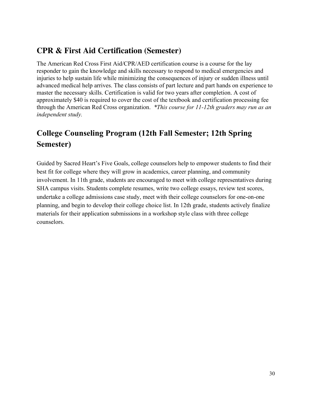### **CPR & First Aid Certification (Semester)**

The American Red Cross First Aid/CPR/AED certification course is a course for the lay responder to gain the knowledge and skills necessary to respond to medical emergencies and injuries to help sustain life while minimizing the consequences of injury or sudden illness until advanced medical help arrives. The class consists of part lecture and part hands on experience to master the necessary skills. Certification is valid for two years after completion. A cost of approximately \$40 is required to cover the cost of the textbook and certification processing fee through the American Red Cross organization. *\*This course for 11-12th graders may run as an independent study.*

## <span id="page-29-0"></span>**College Counseling Program (12th Fall Semester; 12th Spring Semester)**

Guided by Sacred Heart's Five Goals, college counselors help to empower students to find their best fit for college where they will grow in academics, career planning, and community involvement. In 11th grade, students are encouraged to meet with college representatives during SHA campus visits. Students complete resumes, write two college essays, review test scores, undertake a college admissions case study, meet with their college counselors for one-on-one planning, and begin to develop their college choice list. In 12th grade, students actively finalize materials for their application submissions in a workshop style class with three college counselors.